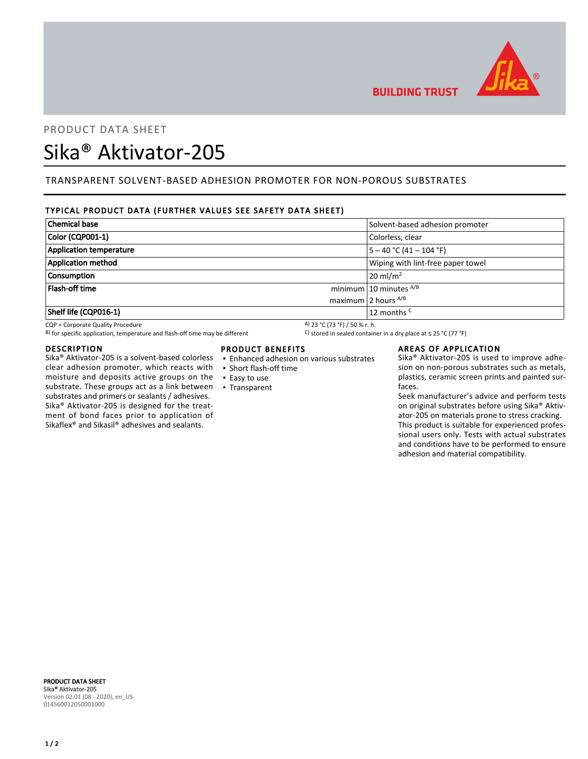

**BUILDING TRUST** 

## PRODUCT DATA SHEET

# Sika® Aktivator-205

## TRANSPARENT SOLVENT-BASED ADHESION PROMOTER FOR NON-POROUS SUBSTRATES

### TYPICAL PRODUCT DATA (FURTHER VALUES SEE SAFETY DATA SHEET)

| <b>Chemical base</b>           | Solvent-based adhesion promoter   |
|--------------------------------|-----------------------------------|
| Color (CQP001-1)               | Colorless, clear                  |
| <b>Application temperature</b> | 5 – 40 °C (41 – 104 °F)           |
| <b>Application method</b>      | Wiping with lint-free paper towel |
| Consumption                    | $20 \text{ m}$ l/m <sup>2</sup>   |
| Flash-off time                 | minimum 10 minutes $^{A/B}$       |
|                                | maximum 2 hours $^{A/B}$          |
| Shelf life (CQP016-1)          | 12 months <sup>C</sup>            |

CQP = Corporate Quality Procedure<br>
B) for specific application, temperature and flash-off time may be different  $B$  stored in sealed container in a dry place at  $\leq$  25 °C (77 °F) B) for specific application, temperature and flash-off time may be different

#### DESCRIPTION

Sika® Aktivator-205 is a solvent-based colorless clear adhesion promoter, which reacts with moisture and deposits active groups on the substrate. These groups act as a link between ▪ Transparent substrates and primers or sealants / adhesives. Sika® Aktivator-205 is designed for the treatment of bond faces prior to application of Sikaflex® and Sikasil® adhesives and sealants.

#### PRODUCT BENEFITS

- Enhanced adhesion on various substrates
- Short flash-off time
- Easy to use
- 

#### AREAS OF APPLICATION

Sika® Aktivator-205 is used to improve adhesion on non-porous substrates such as metals, plastics, ceramic screen prints and painted surfaces.

Seek manufacturer's advice and perform tests on original substrates before using Sika® Aktivator-205 on materials prone to stress cracking. This product is suitable for experienced professional users only. Tests with actual substrates and conditions have to be performed to ensure adhesion and material compatibility.

PRODUCT DATA SHEET Sika® Aktivator-205 Version 02.01 (08 - 2020), en\_US 014560012050001000